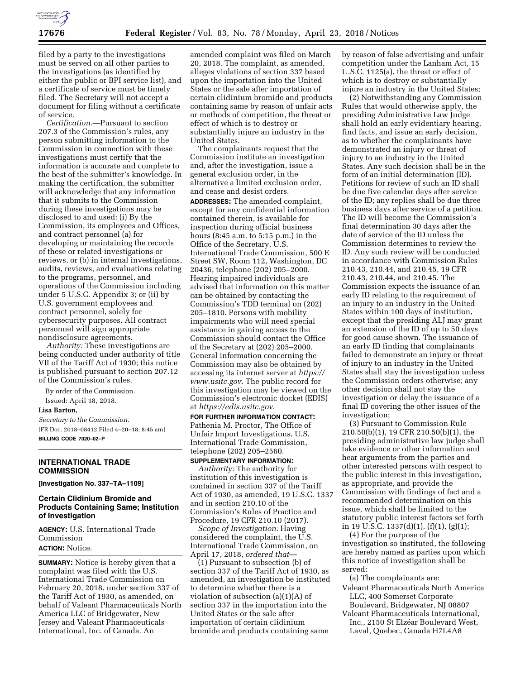

filed by a party to the investigations must be served on all other parties to the investigations (as identified by either the public or BPI service list), and a certificate of service must be timely filed. The Secretary will not accept a document for filing without a certificate of service.

*Certification.*—Pursuant to section 207.3 of the Commission's rules, any person submitting information to the Commission in connection with these investigations must certify that the information is accurate and complete to the best of the submitter's knowledge. In making the certification, the submitter will acknowledge that any information that it submits to the Commission during these investigations may be disclosed to and used: (i) By the Commission, its employees and Offices, and contract personnel (a) for developing or maintaining the records of these or related investigations or reviews, or (b) in internal investigations, audits, reviews, and evaluations relating to the programs, personnel, and operations of the Commission including under 5 U.S.C. Appendix 3; or (ii) by U.S. government employees and contract personnel, solely for cybersecurity purposes. All contract personnel will sign appropriate nondisclosure agreements.

*Authority:* These investigations are being conducted under authority of title VII of the Tariff Act of 1930; this notice is published pursuant to section 207.12 of the Commission's rules.

By order of the Commission. Issued: April 18, 2018.

#### **Lisa Barton,**

*Secretary to the Commission.*  [FR Doc. 2018–08412 Filed 4–20–18; 8:45 am] **BILLING CODE 7020–02–P** 

## **INTERNATIONAL TRADE COMMISSION**

**[Investigation No. 337–TA–1109]** 

## **Certain Clidinium Bromide and Products Containing Same; Institution of Investigation**

**AGENCY:** U.S. International Trade Commission

## **ACTION:** Notice.

**SUMMARY:** Notice is hereby given that a complaint was filed with the U.S. International Trade Commission on February 20, 2018, under section 337 of the Tariff Act of 1930, as amended, on behalf of Valeant Pharmaceuticals North America LLC of Bridgewater, New Jersey and Valeant Pharmaceuticals International, Inc. of Canada. An

amended complaint was filed on March 20, 2018. The complaint, as amended, alleges violations of section 337 based upon the importation into the United States or the sale after importation of certain clidinium bromide and products containing same by reason of unfair acts or methods of competition, the threat or effect of which is to destroy or substantially injure an industry in the United States.

The complainants request that the Commission institute an investigation and, after the investigation, issue a general exclusion order, in the alternative a limited exclusion order, and cease and desist orders. **ADDRESSES:** The amended complaint, except for any confidential information contained therein, is available for inspection during official business hours (8:45 a.m. to 5:15 p.m.) in the Office of the Secretary, U.S. International Trade Commission, 500 E Street SW, Room 112, Washington, DC 20436, telephone (202) 205–2000. Hearing impaired individuals are advised that information on this matter can be obtained by contacting the Commission's TDD terminal on (202) 205–1810. Persons with mobility impairments who will need special assistance in gaining access to the Commission should contact the Office of the Secretary at (202) 205–2000. General information concerning the Commission may also be obtained by accessing its internet server at *[https://](https://www.usitc.gov) [www.usitc.gov](https://www.usitc.gov)*. The public record for this investigation may be viewed on the Commission's electronic docket (EDIS) at *<https://edis.usitc.gov>*.

# **FOR FURTHER INFORMATION CONTACT:**

Pathenia M. Proctor, The Office of Unfair Import Investigations, U.S. International Trade Commission, telephone (202) 205–2560.

### **SUPPLEMENTARY INFORMATION:**

*Authority:* The authority for institution of this investigation is contained in section 337 of the Tariff Act of 1930, as amended, 19 U.S.C. 1337 and in section 210.10 of the Commission's Rules of Practice and Procedure, 19 CFR 210.10 (2017).

*Scope of Investigation:* Having considered the complaint, the U.S. International Trade Commission, on April 17, 2018, *ordered that*—

(1) Pursuant to subsection (b) of section 337 of the Tariff Act of 1930, as amended, an investigation be instituted to determine whether there is a violation of subsection (a)(1)(A) of section 337 in the importation into the United States or the sale after importation of certain clidinium bromide and products containing same

by reason of false advertising and unfair competition under the Lanham Act, 15 U.S.C. 1125(a), the threat or effect of which is to destroy or substantially injure an industry in the United States;

(2) Notwithstanding any Commission Rules that would otherwise apply, the presiding Administrative Law Judge shall hold an early evidentiary hearing, find facts, and issue an early decision, as to whether the complainants have demonstrated an injury or threat of injury to an industry in the United States. Any such decision shall be in the form of an initial determination (ID). Petitions for review of such an ID shall be due five calendar days after service of the ID; any replies shall be due three business days after service of a petition. The ID will become the Commission's final determination 30 days after the date of service of the ID unless the Commission determines to review the ID. Any such review will be conducted in accordance with Commission Rules 210.43, 210.44, and 210.45, 19 CFR 210.43, 210.44, and 210.45. The Commission expects the issuance of an early ID relating to the requirement of an injury to an industry in the United States within 100 days of institution, except that the presiding ALJ may grant an extension of the ID of up to 50 days for good cause shown. The issuance of an early ID finding that complainants failed to demonstrate an injury or threat of injury to an industry in the United States shall stay the investigation unless the Commission orders otherwise; any other decision shall not stay the investigation or delay the issuance of a final ID covering the other issues of the investigation;

(3) Pursuant to Commission Rule 210.50(b)(1), 19 CFR 210.50(b)(1), the presiding administrative law judge shall take evidence or other information and hear arguments from the parties and other interested persons with respect to the public interest in this investigation, as appropriate, and provide the Commission with findings of fact and a recommended determination on this issue, which shall be limited to the statutory public interest factors set forth in 19 U.S.C. 1337(d)(1), (f)(1), (g)(1);

(4) For the purpose of the investigation so instituted, the following are hereby named as parties upon which this notice of investigation shall be served:

(a) The complainants are:

- Valeant Pharmaceuticals North America LLC, 400 Somerset Corporate Boulevard, Bridgewater, NJ 08807
- Valeant Pharmaceuticals International, Inc., 2150 St Elzéar Boulevard West, Laval, Quebec, Canada H7L4A8